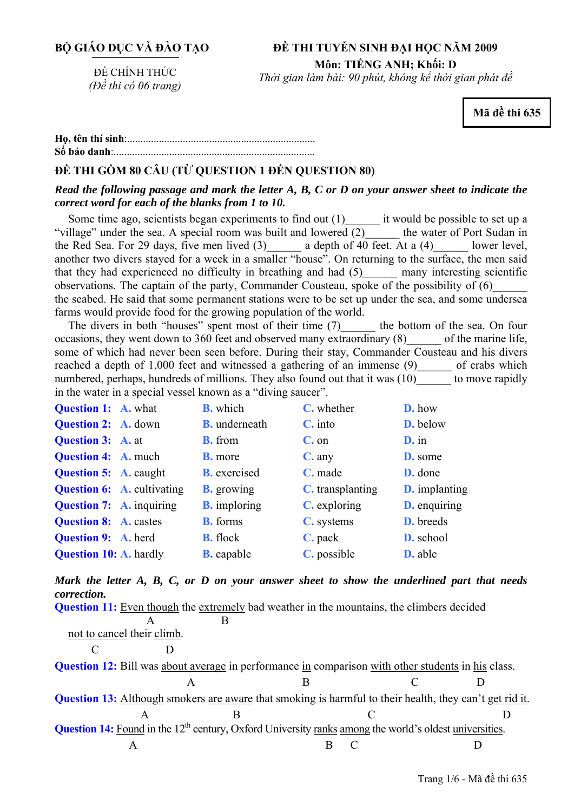# **ĐỀ THI TUYỂN SINH ĐẠI HỌC NĂM 2009 Môn: TIẾNG ANH; Khối: D**

ĐỀ CHÍNH THỨC *(Đề thi có 06 trang)* 

*Thời gian làm bài: 90 phút, không kể thời gian phát đề*

**Mã đề thi 635** 

**<sup>H</sup>ọ, tên thí sinh**:.......................................................................... **Số báo danh**:............................................................................

# **ĐỀ THI GỒM 80 CÂU (TỪ QUESTION 1 ĐẾN QUESTION 80)**

### *Read the following passage and mark the letter A, B, C or D on your answer sheet to indicate the correct word for each of the blanks from 1 to 10.*

Some time ago, scientists began experiments to find out  $(1)$  it would be possible to set up a illage" under the sea. A special room was built and lowered  $(2)$  the water of Port Sudan in "village" under the sea. A special room was built and lowered  $(2)$ the Red Sea. For 29 days, five men lived  $(3)$  a depth of 40 feet. At a  $(4)$  lower level, another two divers stayed for a week in a smaller "house". On returning to the surface, the men said that they had experienced no difficulty in breathing and had (5)\_\_\_\_\_\_ many interesting scientific observations. The captain of the party, Commander Cousteau, spoke of the possibility of (6)\_\_\_\_\_\_ the seabed. He said that some permanent stations were to be set up under the sea, and some undersea farms would provide food for the growing population of the world.

The divers in both "houses" spent most of their time (7) the bottom of the sea. On four occasions, they went down to 360 feet and observed many extraordinary (8) of the marine life, some of which had never been seen before. During their stay, Commander Cousteau and his divers reached a depth of 1,000 feet and witnessed a gathering of an immense (9) of crabs which numbered, perhaps, hundreds of millions. They also found out that it was (10) to move rapidly in the water in a special vessel known as a "diving saucer".

| <b>Question 1: A. what</b>      |                                   | <b>B.</b> which      | C. whether          | D. how               |
|---------------------------------|-----------------------------------|----------------------|---------------------|----------------------|
| <b>Question 2: A. down</b>      |                                   | <b>B.</b> underneath | $C.$ into           | <b>D.</b> below      |
| <b>Question 3:</b> A. at        |                                   | <b>B.</b> from       | $C.$ on             | $D$ , in             |
| <b>Question 4: A. much</b>      |                                   | <b>B.</b> more       | $C$ . any           | <b>D.</b> some       |
| <b>Question 5: A. caught</b>    |                                   | <b>B.</b> exercised  | C. made             | D. done              |
|                                 | <b>Question 6:</b> A. cultivating | <b>B.</b> growing    | C. transplanting    | <b>D.</b> implanting |
| <b>Question 7:</b> A. inquiring |                                   | <b>B.</b> imploring  | <b>C.</b> exploring | <b>D.</b> enquiring  |
| <b>Question 8:</b> A. castes    |                                   | <b>B.</b> forms      | C. systems          | <b>D.</b> breeds     |
| <b>Question 9: A. herd</b>      |                                   | <b>B.</b> flock      | C. pack             | D. school            |
| <b>Question 10: A. hardly</b>   |                                   | <b>B.</b> capable    | C. possible         | <b>D.</b> able       |

*Mark the letter A, B, C, or D on your answer sheet to show the underlined part that needs correction.* 

| <b>Question 11:</b> Even though the extremely bad weather in the mountains, the climbers decided                          |   |   |  |  |
|---------------------------------------------------------------------------------------------------------------------------|---|---|--|--|
|                                                                                                                           | A | B |  |  |
| not to cancel their climb.                                                                                                |   |   |  |  |
|                                                                                                                           |   |   |  |  |
| <b>Question 12:</b> Bill was about average in performance in comparison with other students in his class.                 |   |   |  |  |
|                                                                                                                           |   |   |  |  |
| <b>Question 13:</b> Although smokers are aware that smoking is harmful to their health, they can't get rid it.            |   |   |  |  |
|                                                                                                                           |   |   |  |  |
| <b>Question 14:</b> Found in the 12 <sup>th</sup> century, Oxford University ranks among the world's oldest universities. |   |   |  |  |
| A                                                                                                                         |   |   |  |  |
|                                                                                                                           |   |   |  |  |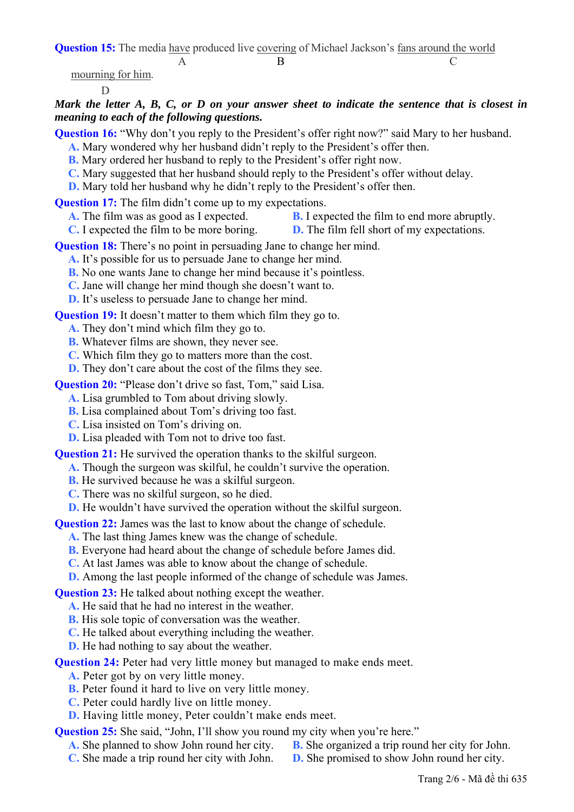**Question 15:** The media have produced live covering of Michael Jackson's fans around the world

A B C

mourning for him.

D

# *Mark the letter A, B, C, or D on your answer sheet to indicate the sentence that is closest in meaning to each of the following questions.*

**Question 16:** "Why don't you reply to the President's offer right now?" said Mary to her husband. **A.** Mary wondered why her husband didn't reply to the President's offer then.

- **B.** Mary ordered her husband to reply to the President's offer right now.
- **C.** Mary suggested that her husband should reply to the President's offer without delay.
- **D.** Mary told her husband why he didn't reply to the President's offer then.

**Question 17:** The film didn't come up to my expectations.

- **A.** The film was as good as I expected. **B.** I expected the film to end more abruptly.
- **C.** I expected the film to be more boring. **D.** The film fell short of my expectations.

**Question 18:** There's no point in persuading Jane to change her mind.

- **A.** It's possible for us to persuade Jane to change her mind.
- **B.** No one wants Jane to change her mind because it's pointless.
- **C.** Jane will change her mind though she doesn't want to.
- **D.** It's useless to persuade Jane to change her mind.

**Question 19:** It doesn't matter to them which film they go to.

- **A.** They don't mind which film they go to.
- **B.** Whatever films are shown, they never see.
- **C.** Which film they go to matters more than the cost.
- **D.** They don't care about the cost of the films they see.

**Question 20:** "Please don't drive so fast, Tom," said Lisa.

**A.** Lisa grumbled to Tom about driving slowly.

- **B.** Lisa complained about Tom's driving too fast.
- **C.** Lisa insisted on Tom's driving on.
- **D.** Lisa pleaded with Tom not to drive too fast.

**Question 21:** He survived the operation thanks to the skilful surgeon.

- **A.** Though the surgeon was skilful, he couldn't survive the operation.
	- **B.** He survived because he was a skilful surgeon.
	- **C.** There was no skilful surgeon, so he died.

**D.** He wouldn't have survived the operation without the skilful surgeon.

**Question 22:** James was the last to know about the change of schedule.

**A.** The last thing James knew was the change of schedule.

**B.** Everyone had heard about the change of schedule before James did.

**C.** At last James was able to know about the change of schedule.

**D.** Among the last people informed of the change of schedule was James.

**Question 23:** He talked about nothing except the weather.

- **A.** He said that he had no interest in the weather.
- **B.** His sole topic of conversation was the weather.
- **C.** He talked about everything including the weather.
- **D.** He had nothing to say about the weather.

**Question 24:** Peter had very little money but managed to make ends meet.

- **A.** Peter got by on very little money.
- **B.** Peter found it hard to live on very little money.
- **C.** Peter could hardly live on little money.
- **D.** Having little money, Peter couldn't make ends meet.

**Question 25:** She said, "John, I'll show you round my city when you're here."

- **A.** She planned to show John round her city. **B.** She organized a trip round her city for John.
	-
- **C.** She made a trip round her city with John. **D.** She promised to show John round her city.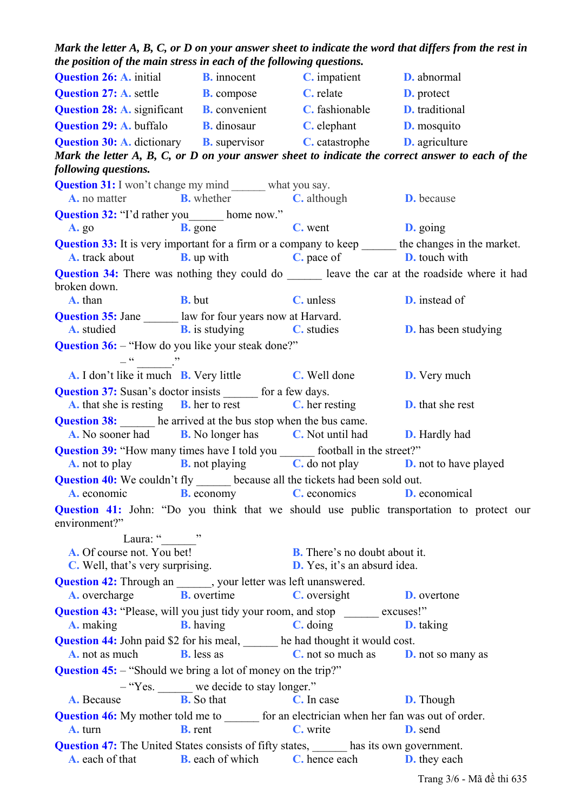| the position of the main stress in each of the following questions.                                                      |                                           |                                                                             |                                                                                                             |
|--------------------------------------------------------------------------------------------------------------------------|-------------------------------------------|-----------------------------------------------------------------------------|-------------------------------------------------------------------------------------------------------------|
| <b>Question 26:</b> A. initial <b>B.</b> innocent <b>C.</b> impatient <b>D.</b> abnormal                                 |                                           |                                                                             |                                                                                                             |
| <b>Question 27: A. settle B. compose C. relate D. protect</b>                                                            |                                           |                                                                             |                                                                                                             |
| <b>Question 28: A.</b> significant <b>B.</b> convenient <b>C.</b> fashionable <b>D.</b> traditional                      |                                           |                                                                             |                                                                                                             |
| <b>Question 29:</b> A. buffalo <b>B.</b> dinosaur <b>C.</b> elephant <b>D.</b> mosquito                                  |                                           |                                                                             |                                                                                                             |
| <b>Question 30:</b> A. dictionary <b>B.</b> supervisor <b>C.</b> catastrophe <b>D.</b> agriculture                       |                                           |                                                                             |                                                                                                             |
|                                                                                                                          |                                           |                                                                             | Mark the letter A, B, C, or D on your answer sheet to indicate the correct answer to each of the            |
| following questions.                                                                                                     |                                           |                                                                             |                                                                                                             |
| <b>Question 31:</b> I won't change my mind _______ what you say.                                                         |                                           |                                                                             |                                                                                                             |
| <b>A.</b> no matter <b>B.</b> whether <b>C.</b> although <b>D.</b> because                                               |                                           |                                                                             |                                                                                                             |
| <b>Question 32:</b> "I'd rather you home now."                                                                           |                                           |                                                                             |                                                                                                             |
| $A. g_0$                                                                                                                 |                                           | <b>B.</b> gone <b>C.</b> went <b>D.</b> going                               |                                                                                                             |
|                                                                                                                          |                                           |                                                                             | <b>Question 33:</b> It is very important for a firm or a company to keep _______ the changes in the market. |
| <b>A.</b> track about <b>B.</b> up with <b>C.</b> pace of <b>D.</b> touch with                                           |                                           |                                                                             |                                                                                                             |
| broken down.                                                                                                             |                                           |                                                                             | Question 34: There was nothing they could do _______ leave the car at the roadside where it had             |
| A. than                                                                                                                  |                                           | <b>B.</b> but <b>C.</b> unless                                              | <b>D.</b> instead of                                                                                        |
| <b>Question 35:</b> Jane <u>a law</u> for four years now at Harvard.                                                     |                                           |                                                                             |                                                                                                             |
| <b>A.</b> studied <b>B.</b> is studying <b>C.</b> studies <b>D.</b> has been studying                                    |                                           |                                                                             |                                                                                                             |
| <b>Question 36:</b> - "How do you like your steak done?"<br>$-\frac{a}{a}$                                               |                                           |                                                                             |                                                                                                             |
| <b>A.</b> I don't like it much <b>B.</b> Very little <b>C.</b> Well done <b>D.</b> Very much                             |                                           |                                                                             |                                                                                                             |
| <b>Question 37:</b> Susan's doctor insists _______ for a few days.                                                       |                                           |                                                                             |                                                                                                             |
| <b>A.</b> that she is resting <b>B.</b> her to rest <b>C.</b> her resting <b>D.</b> that she rest                        |                                           |                                                                             |                                                                                                             |
| <b>Question 38:</b> he arrived at the bus stop when the bus came.                                                        |                                           |                                                                             |                                                                                                             |
| A. No sooner had <b>B.</b> No longer has <b>C.</b> Not until had <b>D.</b> Hardly had                                    |                                           |                                                                             |                                                                                                             |
| <b>Question 39:</b> "How many times have I told you _______ football in the street?"                                     |                                           |                                                                             |                                                                                                             |
| <b>A.</b> not to play <b>B.</b> not playing <b>C.</b> do not play <b>D.</b> not to have played                           |                                           |                                                                             |                                                                                                             |
| <b>Question 40:</b> We couldn't fly _______ because all the tickets had been sold out.                                   |                                           |                                                                             |                                                                                                             |
| <b>A.</b> economic <b>B.</b> economy <b>C.</b> economics <b>D.</b> economical                                            |                                           |                                                                             |                                                                                                             |
| environment?"                                                                                                            |                                           |                                                                             | Question 41: John: "Do you think that we should use public transportation to protect our                    |
| Laura: " "                                                                                                               |                                           |                                                                             |                                                                                                             |
| <b>A.</b> Of course not. You bet!<br><b>C.</b> Well, that's very surprising.                                             |                                           | <b>B.</b> There's no doubt about it.<br><b>D.</b> Yes, it's an absurd idea. |                                                                                                             |
| <b>Question 42:</b> Through an _______, your letter was left unanswered.                                                 |                                           |                                                                             |                                                                                                             |
| <b>A.</b> overcharge <b>B.</b> overtime                                                                                  |                                           | C. oversight                                                                | <b>D.</b> overtone                                                                                          |
| Question 43: "Please, will you just tidy your room, and stop ______ excuses!"<br><b>A.</b> making                        |                                           | <b>B.</b> having <b>C.</b> doing                                            | <b>D.</b> taking                                                                                            |
| <b>Question 44:</b> John paid \$2 for his meal, ______ he had thought it would cost.                                     |                                           |                                                                             |                                                                                                             |
| A. not as much                                                                                                           | <b>B.</b> less as                         | <b>C</b> . not so much as <b>D</b> . not so many as                         |                                                                                                             |
| <b>Question 45:</b> – "Should we bring a lot of money on the trip?"                                                      |                                           |                                                                             |                                                                                                             |
|                                                                                                                          | - "Yes. ______ we decide to stay longer." |                                                                             |                                                                                                             |
| A. Because                                                                                                               | <b>B.</b> So that                         | C. In case                                                                  | <b>D.</b> Though                                                                                            |
| <b>Question 46:</b> My mother told me to _______ for an electrician when her fan was out of order.                       |                                           |                                                                             |                                                                                                             |
| A. turn                                                                                                                  | <b>B.</b> rent                            | C. write                                                                    | D. send                                                                                                     |
| <b>Question 47:</b> The United States consists of fifty states, ______ has its own government.<br><b>A.</b> each of that | <b>B.</b> each of which                   | C. hence each                                                               | <b>D.</b> they each                                                                                         |
|                                                                                                                          |                                           |                                                                             |                                                                                                             |

*Mark the letter A, B, C, or D on your answer sheet to indicate the word that differs from the rest in the position of the main stress in each of the following questions.*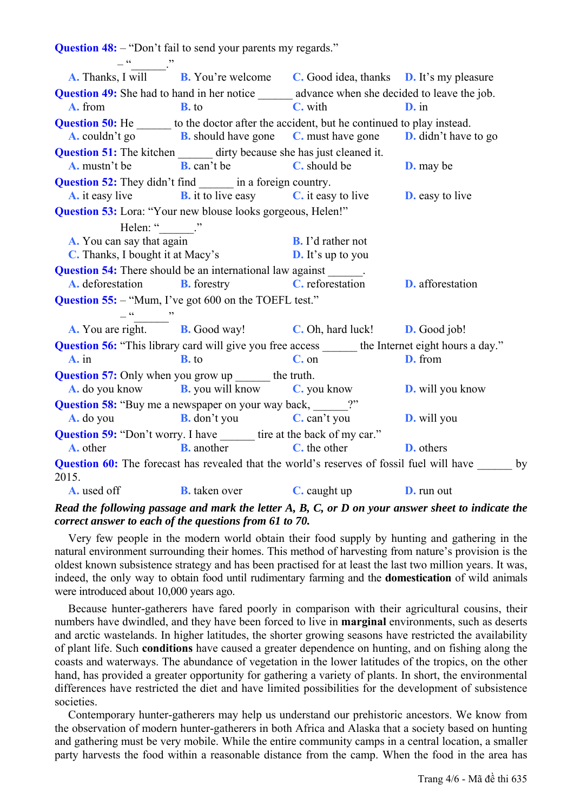**Question 48:** – "Don't fail to send your parents my regards."  $-\frac{a}{a}$  . **A.** Thanks, I will **B.** You're welcome **C.** Good idea, thanks **D.** It's my pleasure **Question 49:** She had to hand in her notice advance when she decided to leave the job. **A.** from **B.** to **C.** with **D.** in **Question 50:** He  $\qquad$  to the doctor after the accident, but he continued to play instead. **A.** couldn't go **B.** should have gone **C.** must have gone **D.** didn't have to go **Question 51:** The kitchen dirty because she has just cleaned it. **A.** mustn't be **B.** can't be **C.** should be **D.** may be **Question 52:** They didn't find \_\_\_\_\_\_\_ in a foreign country. **A.** it easy live **B.** it to live easy **C.** it easy to live **D.** easy to live **Question 53:** Lora: "Your new blouse looks gorgeous, Helen!" Helen: " **A.** You can say that again **B.** I'd rather not **C.** Thanks, I bought it at Macy's **D.** It's up to you **Question 54:** There should be an international law against **A.** deforestation **B.** forestry **C.** reforestation **D.** afforestation **Question 55:** – "Mum, I've got 600 on the TOEFL test."  $-$ **A.** You are right. **B.** Good way! **C.** Oh, hard luck! **D.** Good job! **Question 56:** "This library card will give you free access the Internet eight hours a day." **A.** in **B.** to **C.** on **D.** from **Question 57:** Only when you grow up the truth. **A.** do you know **B.** you will know **C.** you know **D.** will you know **Question 58:** "Buy me a newspaper on your way back,  $?$ " **A.** do you **B.** don't you **C.** can't you **D.** will you **Question 59:** "Don't worry. I have \_\_\_\_\_\_\_ tire at the back of my car." **A.** other **B.** another **C.** the other **D.** others **Question 60:** The forecast has revealed that the world's reserves of fossil fuel will have by 2015. **A.** used off **B.** taken over **C.** caught up **D.** run out

*Read the following passage and mark the letter A, B, C, or D on your answer sheet to indicate the correct answer to each of the questions from 61 to 70.* 

Very few people in the modern world obtain their food supply by hunting and gathering in the natural environment surrounding their homes. This method of harvesting from nature's provision is the oldest known subsistence strategy and has been practised for at least the last two million years. It was, indeed, the only way to obtain food until rudimentary farming and the **domestication** of wild animals were introduced about 10,000 years ago.

Because hunter-gatherers have fared poorly in comparison with their agricultural cousins, their numbers have dwindled, and they have been forced to live in **marginal** environments, such as deserts and arctic wastelands. In higher latitudes, the shorter growing seasons have restricted the availability of plant life. Such **conditions** have caused a greater dependence on hunting, and on fishing along the coasts and waterways. The abundance of vegetation in the lower latitudes of the tropics, on the other hand, has provided a greater opportunity for gathering a variety of plants. In short, the environmental differences have restricted the diet and have limited possibilities for the development of subsistence societies.

Contemporary hunter-gatherers may help us understand our prehistoric ancestors. We know from the observation of modern hunter-gatherers in both Africa and Alaska that a society based on hunting and gathering must be very mobile. While the entire community camps in a central location, a smaller party harvests the food within a reasonable distance from the camp. When the food in the area has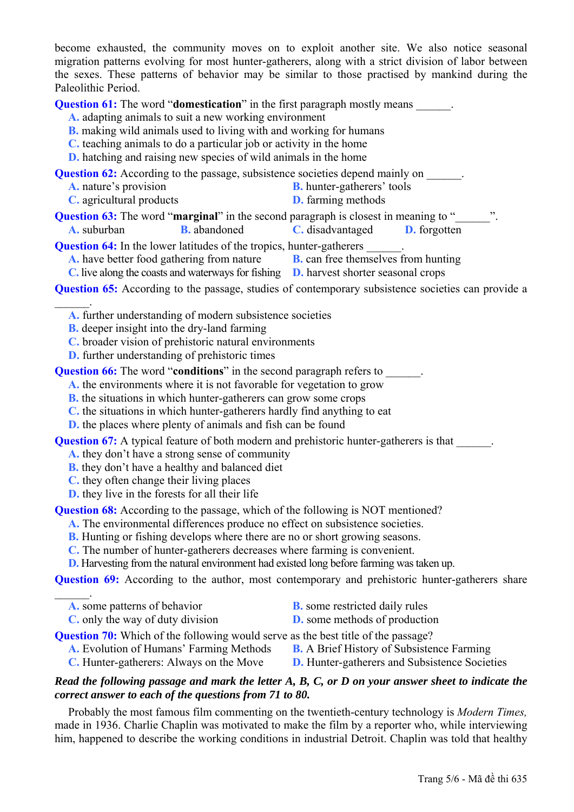become exhausted, the community moves on to exploit another site. We also notice seasonal migration patterns evolving for most hunter-gatherers, along with a strict division of labor between the sexes. These patterns of behavior may be similar to those practised by mankind during the Paleolithic Period.

**Question 61:** The word "**domestication**" in the first paragraph mostly means

**A.** adapting animals to suit a new working environment

- **B.** making wild animals used to living with and working for humans
- **C.** teaching animals to do a particular job or activity in the home
- **D.** hatching and raising new species of wild animals in the home

**Question 62:** According to the passage, subsistence societies depend mainly on

- **A.** nature's provision **B.** hunter-gatherers' tools
- **C.** agricultural products **D.** farming methods

**Question 63:** The word "**marginal**" in the second paragraph is closest in meaning to "

**A.** suburban **B.** abandoned **C.** disadvantaged **D.** forgotten

**Question 64:** In the lower latitudes of the tropics, hunter-gatherers

**A.** have better food gathering from nature **B.** can free themselves from hunting

**C.** live along the coasts and waterways for fishing **D.** harvest shorter seasonal crops

**Question 65:** According to the passage, studies of contemporary subsistence societies can provide a

**A.** further understanding of modern subsistence societies

**B.** deeper insight into the dry-land farming

 $\mathcal{L}_\mathrm{max}$ 

- **C.** broader vision of prehistoric natural environments
- **D.** further understanding of prehistoric times

**Question 66:** The word "**conditions**" in the second paragraph refers to \_\_\_\_\_\_.

**A.** the environments where it is not favorable for vegetation to grow

- **B.** the situations in which hunter-gatherers can grow some crops
- **C.** the situations in which hunter-gatherers hardly find anything to eat

**D.** the places where plenty of animals and fish can be found

**Question 67:** A typical feature of both modern and prehistoric hunter-gatherers is that

- **A.** they don't have a strong sense of community
- **B.** they don't have a healthy and balanced diet
- **C.** they often change their living places
- **D.** they live in the forests for all their life

**Question 68:** According to the passage, which of the following is NOT mentioned?

**A.** The environmental differences produce no effect on subsistence societies.

- **B.** Hunting or fishing develops where there are no or short growing seasons.
- **C.** The number of hunter-gatherers decreases where farming is convenient.

**D.** Harvesting from the natural environment had existed long before farming was taken up.

**Question 69:** According to the author, most contemporary and prehistoric hunter-gatherers share

| <b>A.</b> some patterns of behavior      | <b>B.</b> some restricted daily rules    |
|------------------------------------------|------------------------------------------|
| <b>C</b> . only the way of duty division | <b>D.</b> some methods of production     |
|                                          | $\sim$ 1 $\sim$ $\sim$ 1 $\sim$ $\sim$ 1 |

#### **Question 70:** Which of the following would serve as the best title of the passage?

- **A.** Evolution of Humans' Farming Methods **B.** A Brief History of Subsistence Farming
	-
- **C.** Hunter-gatherers: Always on the Move **D.** Hunter-gatherers and Subsistence Societies
- -

### *Read the following passage and mark the letter A, B, C, or D on your answer sheet to indicate the correct answer to each of the questions from 71 to 80.*

Probably the most famous film commenting on the twentieth-century technology is *Modern Times,* made in 1936. Charlie Chaplin was motivated to make the film by a reporter who, while interviewing him, happened to describe the working conditions in industrial Detroit. Chaplin was told that healthy